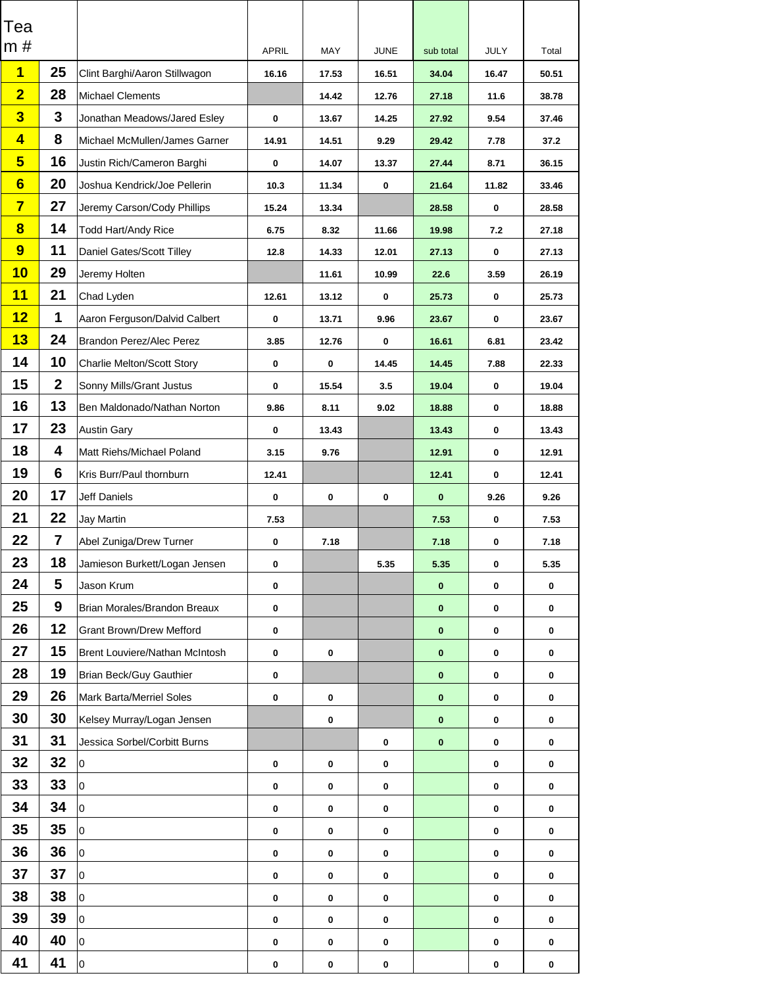| <b>Tea</b>              |                |                                       |                  |                  |                  |              |                  |                  |
|-------------------------|----------------|---------------------------------------|------------------|------------------|------------------|--------------|------------------|------------------|
| m#                      |                |                                       | <b>APRIL</b>     | <b>MAY</b>       | <b>JUNE</b>      | sub total    | <b>JULY</b>      | Total            |
| $\blacksquare$          | 25             | Clint Barghi/Aaron Stillwagon         | 16.16            | 17.53            | 16.51            | 34.04        | 16.47            | 50.51            |
| $\overline{\mathbf{2}}$ | 28             | <b>Michael Clements</b>               |                  | 14.42            | 12.76            | 27.18        | 11.6             | 38.78            |
| $\overline{\mathbf{3}}$ | $\mathbf 3$    | Jonathan Meadows/Jared Esley          | $\boldsymbol{0}$ | 13.67            | 14.25            | 27.92        | 9.54             | 37.46            |
| $\overline{\mathbf{4}}$ | 8              | Michael McMullen/James Garner         | 14.91            | 14.51            | 9.29             | 29.42        | 7.78             | 37.2             |
| $5\overline{)}$         | 16             | Justin Rich/Cameron Barghi            | $\boldsymbol{0}$ | 14.07            | 13.37            | 27.44        | 8.71             | 36.15            |
| 6                       | 20             | Joshua Kendrick/Joe Pellerin          | 10.3             | 11.34            | $\mathbf 0$      | 21.64        | 11.82            | 33.46            |
| $\overline{\mathbf{7}}$ | 27             | Jeremy Carson/Cody Phillips           | 15.24            | 13.34            |                  | 28.58        | $\mathbf 0$      | 28.58            |
| $\bf{8}$                | 14             | <b>Todd Hart/Andy Rice</b>            | 6.75             | 8.32             | 11.66            | 19.98        | 7.2              | 27.18            |
| 9                       | 11             | <b>Daniel Gates/Scott Tilley</b>      | 12.8             | 14.33            | 12.01            | 27.13        | $\boldsymbol{0}$ | 27.13            |
| <b>10</b>               | 29             | Jeremy Holten                         |                  | 11.61            | 10.99            | 22.6         | 3.59             | 26.19            |
| <b>11</b>               | 21             | Chad Lyden                            | 12.61            | 13.12            | $\mathbf 0$      | 25.73        | $\mathbf 0$      | 25.73            |
| <b>12</b>               | 1              | Aaron Ferguson/Dalvid Calbert         | $\mathbf 0$      | 13.71            | 9.96             | 23.67        | $\boldsymbol{0}$ | 23.67            |
| <b>13</b>               | 24             | <b>Brandon Perez/Alec Perez</b>       | 3.85             | 12.76            | $\boldsymbol{0}$ | 16.61        | 6.81             | 23.42            |
| 14                      | 10             | <b>Charlie Melton/Scott Story</b>     | $\mathbf 0$      | $\boldsymbol{0}$ | 14.45            | 14.45        | 7.88             | 22.33            |
| 15                      | 2 <sub>2</sub> | <b>Sonny Mills/Grant Justus</b>       | $\mathbf 0$      | 15.54            | 3.5              | 19.04        | $\boldsymbol{0}$ | 19.04            |
| 16                      | 13             | Ben Maldonado/Nathan Norton           | 9.86             | 8.11             | 9.02             | 18.88        | $\boldsymbol{0}$ | 18.88            |
| 17                      | 23             | <b>Austin Gary</b>                    | $\mathbf 0$      | 13.43            |                  | 13.43        | $\boldsymbol{0}$ | 13.43            |
| 18                      | 4              | Matt Riehs/Michael Poland             | 3.15             | 9.76             |                  | 12.91        | $\mathbf 0$      | 12.91            |
| 19                      | 6              | <b>Kris Burr/Paul thornburn</b>       | 12.41            |                  |                  | 12.41        | $\mathbf 0$      | 12.41            |
| <b>20</b>               | 17             | <b>Jeff Daniels</b>                   | $\mathbf 0$      | $\boldsymbol{0}$ | $\boldsymbol{0}$ | $\mathbf{0}$ | 9.26             | 9.26             |
| 21                      | 22             | <b>Jay Martin</b>                     | 7.53             |                  |                  | 7.53         | $\boldsymbol{0}$ | 7.53             |
| 22                      | 7              | <b>Abel Zuniga/Drew Turner</b>        | $\mathbf 0$      | 7.18             |                  | 7.18         | $\mathbf 0$      | 7.18             |
| 23                      | 18             | Jamieson Burkett/Logan Jensen         | $\mathbf 0$      |                  | 5.35             | 5.35         | $\mathbf 0$      | 5.35             |
| 24                      | 5              | Jason Krum                            | $\mathbf 0$      |                  |                  | $\mathbf{0}$ | $\mathbf 0$      | $\mathbf 0$      |
| 25                      | 9              | <b>Brian Morales/Brandon Breaux</b>   | $\mathbf 0$      |                  |                  | $\bf{0}$     | $\mathbf 0$      | $\bf{0}$         |
| 26                      | 12             | <b>Grant Brown/Drew Mefford</b>       | $\mathbf 0$      |                  |                  | $\mathbf 0$  | $\mathbf 0$      | $\mathbf 0$      |
| 27                      | 15             | <b>Brent Louviere/Nathan McIntosh</b> | $\mathbf 0$      | $\mathbf 0$      |                  | $\mathbf 0$  | $\mathbf 0$      | $\mathbf 0$      |
| 28                      | 19             | <b>Brian Beck/Guy Gauthier</b>        | $\mathbf 0$      |                  |                  | $\bf{0}$     | $\boldsymbol{0}$ | $\bf{0}$         |
| 29                      | 26             | <b>Mark Barta/Merriel Soles</b>       | $\mathbf 0$      | $\boldsymbol{0}$ |                  | $\mathbf 0$  | $\mathbf 0$      | $\bf{0}$         |
| 30                      | 30             | Kelsey Murray/Logan Jensen            |                  | $\boldsymbol{0}$ |                  | $\mathbf{0}$ | $\mathbf 0$      | $\mathbf 0$      |
| 31                      | 31             | <b>Jessica Sorbel/Corbitt Burns</b>   |                  |                  | $\mathbf 0$      | $\bf{0}$     | $\boldsymbol{0}$ | $\bf{0}$         |
| 32                      | 32             | l0                                    | $\mathbf 0$      | $\boldsymbol{0}$ | $\boldsymbol{0}$ |              | $\mathbf 0$      | $\bf{0}$         |
| 33                      | 33             | $\overline{0}$                        | $\mathbf 0$      | $\mathbf 0$      | $\mathbf 0$      |              | $\bf{0}$         | $\mathbf 0$      |
| 34                      | 34             | l0                                    | $\mathbf 0$      | $\boldsymbol{0}$ | $\bf{0}$         |              | $\mathbf 0$      | $\mathbf 0$      |
| 35                      | 35             | lo                                    | $\mathbf 0$      | $\boldsymbol{0}$ | $\boldsymbol{0}$ |              | $\mathbf 0$      | $\mathbf 0$      |
| 36                      | 36             | $\overline{0}$                        | $\mathbf 0$      | $\boldsymbol{0}$ | $\bf{0}$         |              | $\mathbf 0$      | $\bf{0}$         |
| 37                      | 37             | $ 0\rangle$                           | $\mathbf 0$      | $\mathbf 0$      | $\mathbf 0$      |              | $\mathbf 0$      | $\mathbf 0$      |
| 38                      | 38             | 10                                    | $\mathbf 0$      | $\boldsymbol{0}$ | $\boldsymbol{0}$ |              | $\mathbf 0$      | $\mathbf 0$      |
| 39                      | 39             | $\overline{0}$                        | $\mathbf 0$      | $\boldsymbol{0}$ | $\boldsymbol{0}$ |              | $\mathbf 0$      | $\mathbf 0$      |
| 40                      | 40             | $\overline{0}$                        | $\boldsymbol{0}$ | $\boldsymbol{0}$ | $\boldsymbol{0}$ |              | $\mathbf 0$      | $\mathbf 0$      |
| 41                      | 41             | $ 0\rangle$                           | $\boldsymbol{0}$ | $\boldsymbol{0}$ | 0                |              | $\mathbf 0$      | $\boldsymbol{0}$ |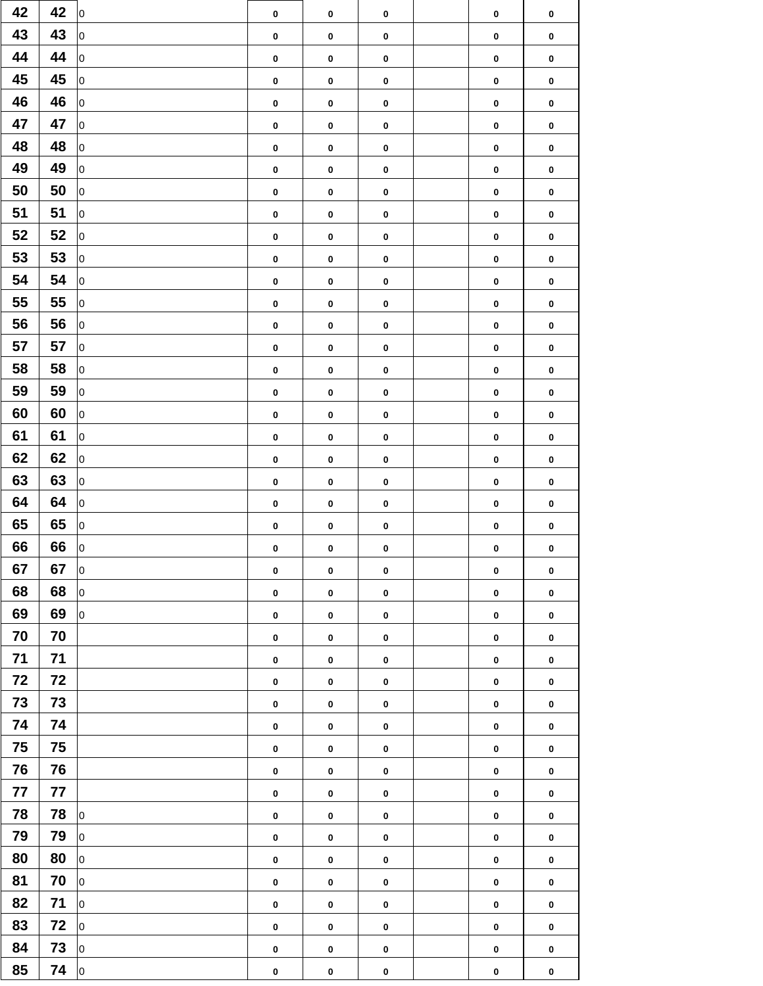| 42 | 42 | $\vert$ 0       | $\mathbf 0$      | $\boldsymbol{0}$ | $\boldsymbol{0}$ | $\mathbf 0$ | $\mathbf 0$      |
|----|----|-----------------|------------------|------------------|------------------|-------------|------------------|
| 43 | 43 | 0               | $\boldsymbol{0}$ | $\boldsymbol{0}$ | $\mathbf 0$      | $\mathbf 0$ | $\mathbf 0$      |
| 44 | 44 | $ 0\rangle$     | $\mathbf 0$      | $\mathbf 0$      | $\pmb{0}$        | $\mathbf 0$ | $\mathbf 0$      |
| 45 | 45 | $\vert 0 \vert$ | $\boldsymbol{0}$ | $\pmb{0}$        | $\mathbf 0$      | $\mathbf 0$ | $\mathbf 0$      |
| 46 | 46 | 0               | $\boldsymbol{0}$ | $\pmb{0}$        | $\pmb{0}$        | $\mathbf 0$ | $\mathbf 0$      |
| 47 | 47 | $ 0\rangle$     | $\boldsymbol{0}$ | $\boldsymbol{0}$ | $\mathbf 0$      | $\mathbf 0$ | $\mathbf 0$      |
| 48 | 48 | $ 0\rangle$     | $\boldsymbol{0}$ | $\mathbf 0$      | $\mathbf 0$      | $\mathbf 0$ | $\mathbf 0$      |
| 49 | 49 | 0               | $\mathbf 0$      | $\boldsymbol{0}$ | $\boldsymbol{0}$ | $\mathbf 0$ | $\mathbf 0$      |
| 50 | 50 | 0               | $\boldsymbol{0}$ | $\boldsymbol{0}$ | $\pmb{0}$        | $\mathbf 0$ | $\mathbf 0$      |
| 51 | 51 | 0               | $\boldsymbol{0}$ | $\boldsymbol{0}$ | $\pmb{0}$        | $\mathbf 0$ | $\mathbf 0$      |
| 52 | 52 | $\vert 0 \vert$ | $\boldsymbol{0}$ | $\mathbf 0$      | $\mathbf 0$      | $\mathbf 0$ | $\mathbf 0$      |
| 53 | 53 | 0               | $\boldsymbol{0}$ | $\pmb{0}$        | $\mathbf 0$      | $\mathbf 0$ | $\mathbf 0$      |
| 54 | 54 | 0               | $\boldsymbol{0}$ | $\boldsymbol{0}$ | $\pmb{0}$        | $\mathbf 0$ | $\boldsymbol{0}$ |
| 55 | 55 | 0               | $\boldsymbol{0}$ | $\mathbf 0$      | $\pmb{0}$        | $\mathbf 0$ | $\mathbf 0$      |
| 56 | 56 | 0               | $\boldsymbol{0}$ | $\boldsymbol{0}$ | $\mathbf 0$      | $\mathbf 0$ | $\mathbf 0$      |
| 57 | 57 | $ 0\rangle$     | $\boldsymbol{0}$ | $\pmb{0}$        | $\pmb{0}$        | $\mathbf 0$ | $\mathbf 0$      |
| 58 | 58 | $ 0\rangle$     | $\boldsymbol{0}$ | $\boldsymbol{0}$ | $\mathbf 0$      | $\mathbf 0$ | $\mathbf 0$      |
| 59 | 59 | $ 0\rangle$     | $\boldsymbol{0}$ | $\mathbf 0$      | $\pmb{0}$        | $\mathbf 0$ | $\mathbf 0$      |
| 60 | 60 | $ 0\rangle$     | $\boldsymbol{0}$ | $\pmb{0}$        | $\mathbf 0$      | $\mathbf 0$ | $\mathbf 0$      |
| 61 | 61 | 0               | $\boldsymbol{0}$ | $\boldsymbol{0}$ | $\mathbf 0$      | $\mathbf 0$ | $\mathbf 0$      |
| 62 | 62 | 0               | $\boldsymbol{0}$ | $\boldsymbol{0}$ | $\pmb{0}$        | $\mathbf 0$ | $\mathbf 0$      |
| 63 | 63 | $\vert 0 \vert$ | $\boldsymbol{0}$ | $\pmb{0}$        | $\pmb{0}$        | $\mathbf 0$ | $\mathbf 0$      |
| 64 | 64 | 0               | $\boldsymbol{0}$ | $\pmb{0}$        | $\boldsymbol{0}$ | $\mathbf 0$ | $\mathbf 0$      |
| 65 | 65 | 0               | $\boldsymbol{0}$ | $\boldsymbol{0}$ | $\mathbf 0$      | $\mathbf 0$ | $\mathbf 0$      |
| 66 | 66 | 0               | $\boldsymbol{0}$ | $\mathbf 0$      | $\boldsymbol{0}$ | $\mathbf 0$ | $\mathbf 0$      |
| 67 | 67 | 0               | $\boldsymbol{0}$ | $\pmb{0}$        | $\mathbf 0$      | $\mathbf 0$ | $\mathbf 0$      |
| 68 | 68 | 0               | $\mathbf 0$      | $\pmb{0}$        | $\mathbf 0$      | $\mathbf 0$ | $\mathbf 0$      |
| 69 | 69 | $ 0\rangle$     | $\boldsymbol{0}$ | $\boldsymbol{0}$ | $\mathbf 0$      | $\mathbf 0$ | $\mathbf 0$      |
| 70 | 70 |                 | $\boldsymbol{0}$ | $\mathbf 0$      | $\pmb{0}$        | $\mathbf 0$ | $\mathbf 0$      |
| 71 | 71 |                 | $\mathbf 0$      | $\mathbf 0$      | $\mathbf 0$      | $\mathbf 0$ | $\mathbf 0$      |
| 72 | 72 |                 | $\mathbf 0$      | $\boldsymbol{0}$ | $\mathbf 0$      | $\mathbf 0$ | $\mathbf 0$      |
| 73 | 73 |                 | $\boldsymbol{0}$ | $\boldsymbol{0}$ | $\mathbf 0$      | $\mathbf 0$ | $\mathbf 0$      |
| 74 | 74 |                 | $\boldsymbol{0}$ | $\pmb{0}$        | $\pmb{0}$        | $\mathbf 0$ | $\mathbf 0$      |
| 75 | 75 |                 | $\boldsymbol{0}$ | $\pmb{0}$        | $\mathbf 0$      | $\mathbf 0$ | $\mathbf 0$      |
| 76 | 76 |                 | $\boldsymbol{0}$ | $\mathbf 0$      | $\mathbf 0$      | $\mathbf 0$ | $\mathbf 0$      |
| 77 | 77 |                 | $\mathbf 0$      | $\mathbf 0$      | $\mathbf 0$      | $\mathbf 0$ | $\mathbf 0$      |
| 78 | 78 | $ 0\rangle$     | $\mathbf 0$      | $\mathbf 0$      | $\mathbf 0$      | $\mathbf 0$ | $\mathbf 0$      |
| 79 | 79 | 0               | $\mathbf 0$      | $\mathbf 0$      | $\mathbf 0$      | $\mathbf 0$ | $\mathbf 0$      |
| 80 | 80 | 0               | $\boldsymbol{0}$ | $\mathbf 0$      | $\mathbf 0$      | $\mathbf 0$ | $\mathbf 0$      |
| 81 | 70 | $\vert$ 0       | $\boldsymbol{0}$ | $\mathbf 0$      | $\pmb{0}$        | $\mathbf 0$ | $\mathbf 0$      |
| 82 | 71 | $ 0\rangle$     | $\boldsymbol{0}$ | $\mathbf 0$      | $\boldsymbol{0}$ | $\mathbf 0$ | $\mathbf 0$      |
| 83 | 72 | 0               | $\boldsymbol{0}$ | $\boldsymbol{0}$ | $\pmb{0}$        | $\mathbf 0$ | $\mathbf 0$      |
| 84 | 73 | $ 0\rangle$     | $\boldsymbol{0}$ | $\boldsymbol{0}$ | $\pmb{0}$        | $\mathbf 0$ | $\boldsymbol{0}$ |
| 85 | 74 | $ 0\rangle$     | $\boldsymbol{0}$ | $\pmb{0}$        | $\boldsymbol{0}$ | $\mathbf 0$ | $\mathbf 0$      |